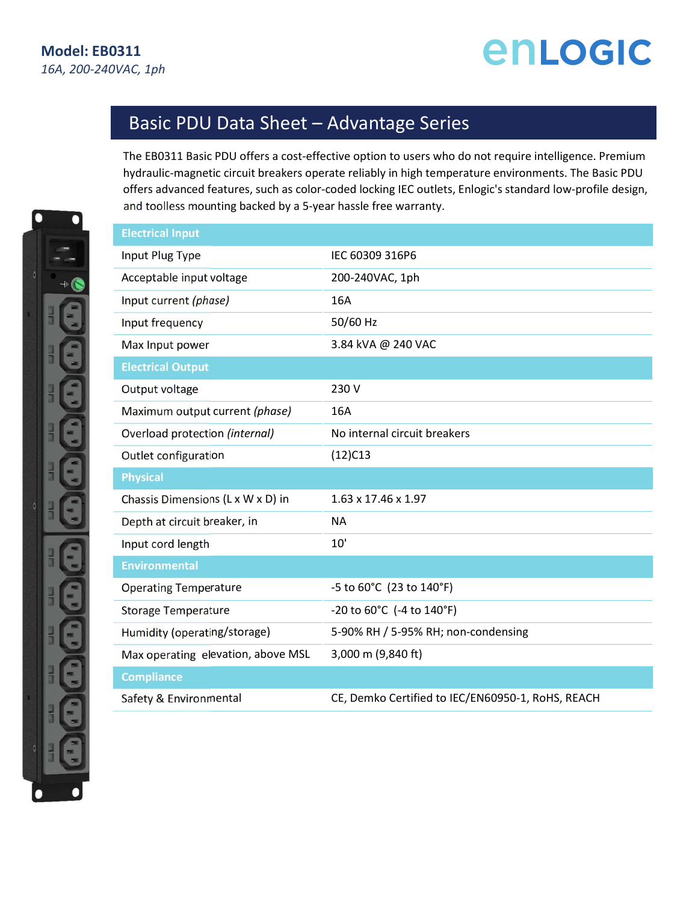## enLogic

## Basic PDU Data Sheet – Advantage Series

The EB0311 Basic PDU offers a cost-effective option to users who do not require intelligence. Premium hydraulic-magnetic circuit breakers operate reliably in high temperature environments. The Basic PDU offers advanced features, such as color-coded locking IEC outlets, Enlogic's standard low-profile design, and toolless mounting backed by a 5-year hassle free warranty.

| <b>Electrical Input</b>            |                                               |
|------------------------------------|-----------------------------------------------|
| Input Plug Type                    | IEC 60309 316P6                               |
| Acceptable input voltage           | 200-240VAC, 1ph                               |
| Input current (phase)              | 16A                                           |
| Input frequency                    | 50/60 Hz                                      |
| Max Input power                    | 3.84 kVA @ 240 VAC                            |
| <b>Electrical Output</b>           |                                               |
| Output voltage                     | 230 V                                         |
| Maximum output current (phase)     | 16A                                           |
| Overload protection (internal)     | No internal circuit breakers                  |
| Outlet configuration               | $(12)$ C13                                    |
|                                    |                                               |
| <b>Physical</b>                    |                                               |
| Chassis Dimensions (L x W x D) in  | $1.63 \times 17.46 \times 1.97$               |
| Depth at circuit breaker, in       | <b>NA</b>                                     |
| Input cord length                  | 10'                                           |
| <b>Environmental</b>               |                                               |
| <b>Operating Temperature</b>       | -5 to 60°C (23 to 140°F)                      |
| <b>Storage Temperature</b>         | -20 to $60^{\circ}$ C (-4 to $140^{\circ}$ F) |
| Humidity (operating/storage)       | 5-90% RH / 5-95% RH; non-condensing           |
| Max operating elevation, above MSL | 3,000 m (9,840 ft)                            |
| <b>Compliance</b>                  |                                               |